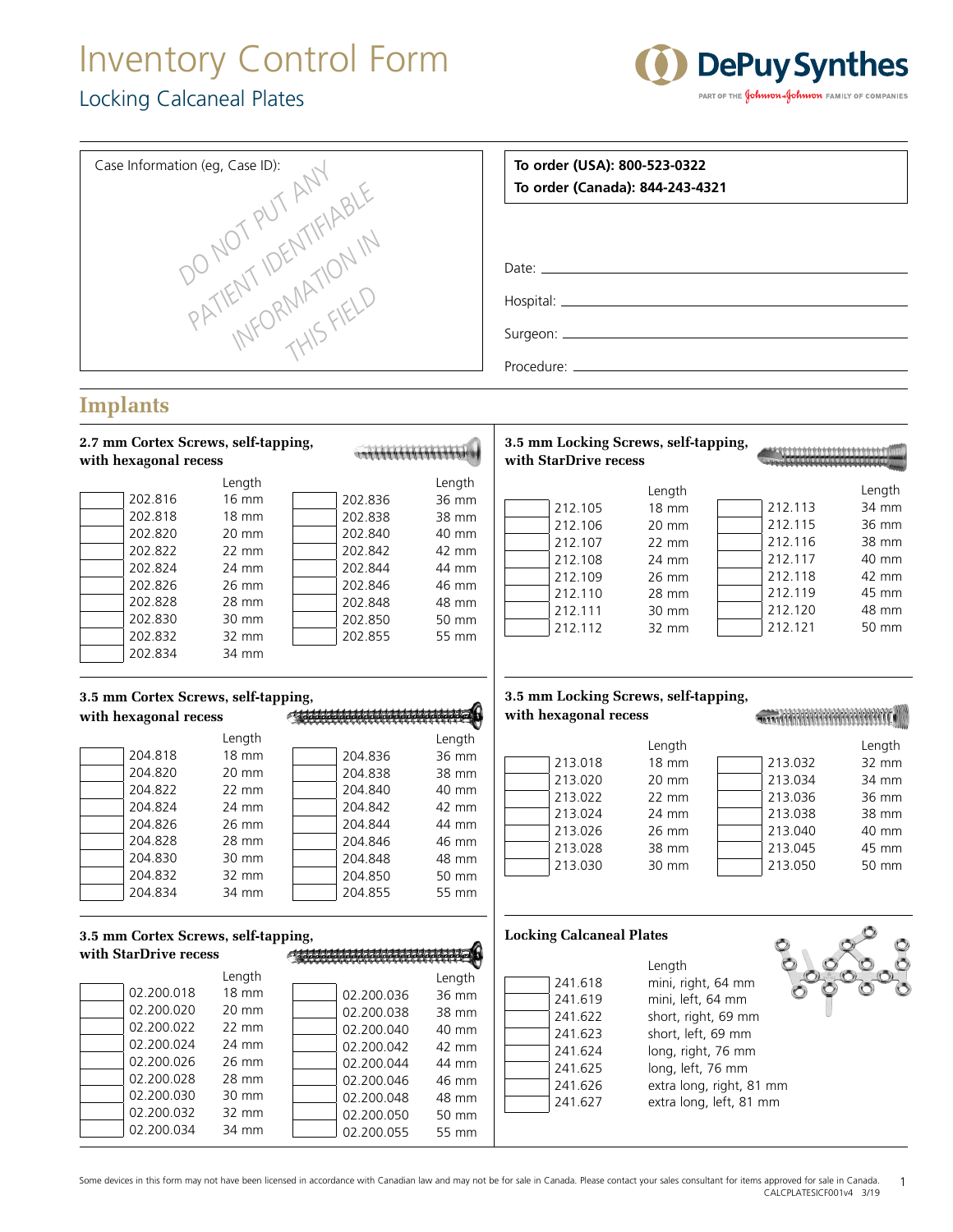## Inventory Control Form Locking Calcaneal Plates

 $02.200.034$  34 mm



| Case Information (eg, Case ID):<br>PATIENT IDENTIFIABLE      |                                     |                 |  |            |                 |                                                               | To order (USA): 800-523-0322<br>To order (Canada): 844-243-4321 |                                         |  |                    |                 |  |  |  |  |  |  |  |  |  |  |  |  |
|--------------------------------------------------------------|-------------------------------------|-----------------|--|------------|-----------------|---------------------------------------------------------------|-----------------------------------------------------------------|-----------------------------------------|--|--------------------|-----------------|--|--|--|--|--|--|--|--|--|--|--|--|
|                                                              |                                     |                 |  |            |                 |                                                               |                                                                 |                                         |  |                    |                 |  |  |  |  |  |  |  |  |  |  |  |  |
|                                                              |                                     |                 |  |            |                 |                                                               |                                                                 |                                         |  |                    |                 |  |  |  |  |  |  |  |  |  |  |  |  |
|                                                              |                                     |                 |  |            |                 |                                                               |                                                                 |                                         |  |                    |                 |  |  |  |  |  |  |  |  |  |  |  |  |
|                                                              |                                     |                 |  |            |                 |                                                               |                                                                 |                                         |  |                    |                 |  |  |  |  |  |  |  |  |  |  |  |  |
|                                                              |                                     |                 |  |            |                 |                                                               |                                                                 |                                         |  |                    |                 |  |  |  |  |  |  |  |  |  |  |  |  |
|                                                              | <b>Implants</b>                     |                 |  |            |                 |                                                               |                                                                 |                                         |  |                    |                 |  |  |  |  |  |  |  |  |  |  |  |  |
| 2.7 mm Cortex Screws, self-tapping,<br>with hexagonal recess |                                     |                 |  |            |                 | 3.5 mm Locking Screws, self-tapping,<br>with StarDrive recess |                                                                 |                                         |  |                    |                 |  |  |  |  |  |  |  |  |  |  |  |  |
|                                                              |                                     |                 |  |            |                 |                                                               |                                                                 |                                         |  |                    |                 |  |  |  |  |  |  |  |  |  |  |  |  |
|                                                              | 202.816                             | Length<br>16 mm |  | 202.836    | Length<br>36 mm |                                                               |                                                                 | Length                                  |  |                    | Length          |  |  |  |  |  |  |  |  |  |  |  |  |
|                                                              | 202.818                             | $18 \text{ mm}$ |  | 202.838    | 38 mm           |                                                               | 212.105                                                         | <b>18 mm</b>                            |  | 212.113            | 34 mm           |  |  |  |  |  |  |  |  |  |  |  |  |
|                                                              | 202.820                             | 20 mm           |  | 202.840    | 40 mm           |                                                               | 212.106                                                         | 20 mm                                   |  | 212.115            | 36 mm           |  |  |  |  |  |  |  |  |  |  |  |  |
|                                                              | 202.822                             | 22 mm           |  | 202.842    | 42 mm           |                                                               | 212.107                                                         | $22 \text{ mm}$                         |  | 212.116            | 38 mm           |  |  |  |  |  |  |  |  |  |  |  |  |
|                                                              | 202.824                             | 24 mm           |  | 202.844    | 44 mm           |                                                               | 212.108                                                         | 24 mm                                   |  | 212.117            | 40 mm           |  |  |  |  |  |  |  |  |  |  |  |  |
|                                                              | 202.826                             | 26 mm           |  | 202.846    | 46 mm           |                                                               | 212.109                                                         | 26 mm                                   |  | 212.118            | 42 mm           |  |  |  |  |  |  |  |  |  |  |  |  |
|                                                              | 202.828                             | 28 mm           |  | 202.848    | 48 mm           |                                                               | 212.110                                                         | 28 mm<br>30 mm                          |  | 212.119<br>212.120 | 45 mm<br>48 mm  |  |  |  |  |  |  |  |  |  |  |  |  |
|                                                              | 202.830                             | 30 mm           |  | 202.850    | 50 mm           |                                                               | 212.111<br>212.112                                              | 32 mm                                   |  | 212.121            | 50 mm           |  |  |  |  |  |  |  |  |  |  |  |  |
|                                                              | 202.832                             | 32 mm           |  | 202.855    | 55 mm           |                                                               |                                                                 |                                         |  |                    |                 |  |  |  |  |  |  |  |  |  |  |  |  |
|                                                              | 202.834                             | 34 mm           |  |            |                 |                                                               |                                                                 |                                         |  |                    |                 |  |  |  |  |  |  |  |  |  |  |  |  |
|                                                              |                                     |                 |  |            |                 |                                                               |                                                                 | 3.5 mm Locking Screws, self-tapping,    |  |                    |                 |  |  |  |  |  |  |  |  |  |  |  |  |
| 3.5 mm Cortex Screws, self-tapping,<br>with hexagonal recess |                                     |                 |  |            |                 | with hexagonal recess                                         |                                                                 |                                         |  |                    |                 |  |  |  |  |  |  |  |  |  |  |  |  |
|                                                              |                                     | Length          |  |            | Length          |                                                               |                                                                 |                                         |  |                    |                 |  |  |  |  |  |  |  |  |  |  |  |  |
|                                                              | 204.818                             | <b>18 mm</b>    |  | 204.836    | 36 mm           |                                                               | 213.018                                                         | Length<br><b>18 mm</b>                  |  | 213.032            | Length<br>32 mm |  |  |  |  |  |  |  |  |  |  |  |  |
|                                                              | 204.820                             | 20 mm           |  | 204.838    | 38 mm           |                                                               | 213.020                                                         | 20 mm                                   |  | 213.034            | 34 mm           |  |  |  |  |  |  |  |  |  |  |  |  |
|                                                              | 204.822                             | 22 mm           |  | 204.840    | 40 mm           |                                                               | 213.022                                                         | $22 \, \text{mm}$                       |  | 213.036            | 36 mm           |  |  |  |  |  |  |  |  |  |  |  |  |
|                                                              | 204.824                             | 24 mm           |  | 204.842    | 42 mm           |                                                               | 213.024                                                         | 24 mm                                   |  | 213.038            | 38 mm           |  |  |  |  |  |  |  |  |  |  |  |  |
|                                                              | 204.826                             | 26 mm           |  | 204.844    | 44 mm           |                                                               | 213.026                                                         | 26 mm                                   |  | 213.040            | 40 mm           |  |  |  |  |  |  |  |  |  |  |  |  |
|                                                              | 204.828                             | 28 mm           |  | 204.846    | 46 mm           |                                                               | 213.028                                                         | 38 mm                                   |  | 213.045            | 45 mm           |  |  |  |  |  |  |  |  |  |  |  |  |
|                                                              | 204.830                             | 30 mm           |  | 204.848    | 48 mm           |                                                               | 213.030                                                         | 30 mm                                   |  | 213.050            | 50 mm           |  |  |  |  |  |  |  |  |  |  |  |  |
|                                                              | 204.832                             | 32 mm           |  | 204.850    | 50 mm           |                                                               |                                                                 |                                         |  |                    |                 |  |  |  |  |  |  |  |  |  |  |  |  |
|                                                              | 204.834                             | 34 mm           |  | 204.855    | 55 mm           |                                                               |                                                                 |                                         |  |                    |                 |  |  |  |  |  |  |  |  |  |  |  |  |
|                                                              | 3.5 mm Cortex Screws, self-tapping, |                 |  |            |                 |                                                               | <b>Locking Calcaneal Plates</b>                                 |                                         |  |                    |                 |  |  |  |  |  |  |  |  |  |  |  |  |
|                                                              | with StarDrive recess               |                 |  |            |                 |                                                               |                                                                 |                                         |  |                    |                 |  |  |  |  |  |  |  |  |  |  |  |  |
|                                                              |                                     | Length          |  |            | Length          |                                                               |                                                                 | Length                                  |  |                    |                 |  |  |  |  |  |  |  |  |  |  |  |  |
|                                                              | 02.200.018                          | <b>18 mm</b>    |  | 02.200.036 | 36 mm           |                                                               | 241.618<br>241.619                                              | mini, right, 64 mm<br>mini, left, 64 mm |  |                    |                 |  |  |  |  |  |  |  |  |  |  |  |  |
|                                                              | 02.200.020                          | 20 mm           |  | 02.200.038 | 38 mm           |                                                               | 241.622                                                         | short, right, 69 mm                     |  |                    |                 |  |  |  |  |  |  |  |  |  |  |  |  |
|                                                              | 02.200.022                          | 22 mm           |  | 02.200.040 | 40 mm           |                                                               | 241.623                                                         | short, left, 69 mm                      |  |                    |                 |  |  |  |  |  |  |  |  |  |  |  |  |
|                                                              | 02.200.024                          | 24 mm           |  | 02.200.042 | 42 mm           |                                                               | 241.624                                                         | long, right, 76 mm                      |  |                    |                 |  |  |  |  |  |  |  |  |  |  |  |  |
|                                                              | 02.200.026                          | 26 mm           |  | 02.200.044 | 44 mm           |                                                               | 241.625                                                         | long, left, 76 mm                       |  |                    |                 |  |  |  |  |  |  |  |  |  |  |  |  |
|                                                              | 02.200.028                          | 28 mm           |  | 02.200.046 | 46 mm           |                                                               | 241.626                                                         | extra long, right, 81 mm                |  |                    |                 |  |  |  |  |  |  |  |  |  |  |  |  |
|                                                              | 02.200.030                          | 30 mm           |  | 02.200.048 | 48 mm           |                                                               | 241.627                                                         | extra long, left, 81 mm                 |  |                    |                 |  |  |  |  |  |  |  |  |  |  |  |  |
|                                                              | 02.200.032                          | 32 mm           |  | 02.200.050 | 50 mm           |                                                               |                                                                 |                                         |  |                    |                 |  |  |  |  |  |  |  |  |  |  |  |  |

Some devices in this form may not have been licensed in accordance with Canadian law and may not be for sale in Canada. Please contact your sales consultant for items approved for sale in Canada. CALCPLATESICF001v4 3/19 1

02.200.055 55 mm